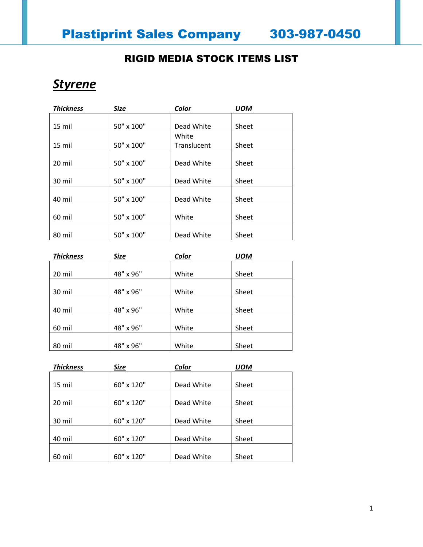#### RIGID MEDIA STOCK ITEMS LIST

## *Styrene*

| <b>Thickness</b> | <b>Size</b> | Color       | <b>UOM</b> |
|------------------|-------------|-------------|------------|
|                  |             |             |            |
| 15 mil           | 50" x 100"  | Dead White  | Sheet      |
|                  |             | White       |            |
| 15 mil           | 50" x 100"  | Translucent | Sheet      |
|                  |             |             |            |
| 20 mil           | 50" x 100"  | Dead White  | Sheet      |
|                  |             |             |            |
| 30 mil           | 50" x 100"  | Dead White  | Sheet      |
|                  |             |             |            |
| 40 mil           | 50" x 100"  | Dead White  | Sheet      |
|                  |             |             |            |
| 60 mil           | 50" x 100"  | White       | Sheet      |
|                  |             |             |            |
| 80 mil           | 50" x 100"  | Dead White  | Sheet      |

| <b>Thickness</b> | <b>Size</b> | Color | <b>UOM</b> |
|------------------|-------------|-------|------------|
|                  |             |       |            |
| 20 mil           | 48" x 96"   | White | Sheet      |
|                  |             |       |            |
| 30 mil           | 48" x 96"   | White | Sheet      |
|                  |             |       |            |
| 40 mil           | 48" x 96"   | White | Sheet      |
|                  |             |       |            |
| 60 mil           | 48" x 96"   | White | Sheet      |
|                  |             |       |            |
| 80 mil           | 48" x 96"   | White | Sheet      |

| <b>Thickness</b> | <b>Size</b> | Color      | UOM   |
|------------------|-------------|------------|-------|
|                  |             |            |       |
| 15 mil           | 60" x 120"  | Dead White | Sheet |
|                  |             |            |       |
| 20 mil           | 60" x 120"  | Dead White | Sheet |
|                  |             |            |       |
| 30 mil           | 60" x 120"  | Dead White | Sheet |
|                  |             |            |       |
| 40 mil           | 60" x 120"  | Dead White | Sheet |
|                  |             |            |       |
| 60 mil           | 60" x 120"  | Dead White | Sheet |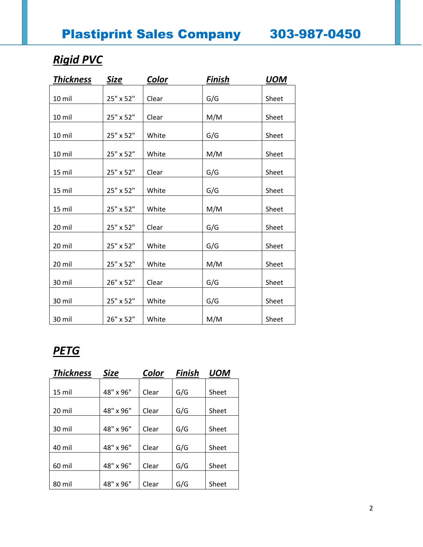# *Rigid PVC*

| <b>Thickness</b> | Size      | Color | Finish | <b>UOM</b> |
|------------------|-----------|-------|--------|------------|
|                  |           |       |        |            |
| 10 mil           | 25" x 52" | Clear | G/G    | Sheet      |
| 10 mil           | 25" x 52" | Clear | M/M    | Sheet      |
| 10 mil           | 25" x 52" | White | G/G    | Sheet      |
| 10 mil           | 25" x 52" | White | M/M    | Sheet      |
| 15 mil           | 25" x 52" | Clear | G/G    | Sheet      |
| 15 mil           | 25" x 52" | White | G/G    | Sheet      |
| 15 mil           | 25" x 52" | White | M/M    | Sheet      |
| 20 mil           | 25" x 52" | Clear | G/G    | Sheet      |
| 20 mil           | 25" x 52" | White | G/G    | Sheet      |
| 20 mil           | 25" x 52" | White | M/M    | Sheet      |
| 30 mil           | 26" x 52" | Clear | G/G    | Sheet      |
| 30 mil           | 25" x 52" | White | G/G    | Sheet      |
| 30 mil           | 26" x 52" | White | M/M    | Sheet      |

## *PETG*

| <b>Thickness</b> | <b>Size</b> | Color | <b>Finish</b> | UOM   |
|------------------|-------------|-------|---------------|-------|
|                  |             |       |               |       |
| 15 mil           | 48" x 96"   | Clear | G/G           | Sheet |
|                  |             |       |               |       |
| 20 mil           | 48" x 96"   | Clear | G/G           | Sheet |
|                  |             |       |               |       |
| 30 mil           | 48" x 96"   | Clear | G/G           | Sheet |
|                  |             |       |               |       |
| 40 mil           | 48" x 96"   | Clear | G/G           | Sheet |
|                  |             |       |               |       |
| 60 mil           | 48" x 96"   | Clear | G/G           | Sheet |
|                  |             |       |               |       |
| 80 mil           | 48" x 96"   | Clear | G/G           | Sheet |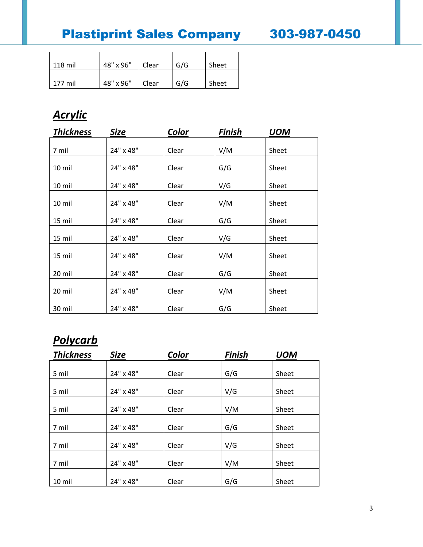Plastiprint Sales Company 303-987-0450

| 118 mil | 48" x 96" | Clear | G/G | Sheet |
|---------|-----------|-------|-----|-------|
| 177 mil | 48" x 96" | Clear | G/G | Sheet |

# *Acrylic*

| <b>Thickness</b> | <b>Size</b> | Color | <b>Finish</b> | <b>UOM</b> |  |
|------------------|-------------|-------|---------------|------------|--|
| 7 mil            | 24" x 48"   | Clear | V/M           | Sheet      |  |
| 10 mil           | 24" x 48"   | Clear | G/G           | Sheet      |  |
| 10 mil           | 24" x 48"   | Clear | V/G           | Sheet      |  |
| 10 mil           | 24" x 48"   | Clear | V/M           | Sheet      |  |
| 15 mil           | 24" x 48"   | Clear | G/G           | Sheet      |  |
| 15 mil           | 24" x 48"   | Clear | V/G           | Sheet      |  |
| 15 mil           | 24" x 48"   | Clear | V/M           | Sheet      |  |
| 20 mil           | 24" x 48"   | Clear | G/G           | Sheet      |  |
| 20 mil           | 24" x 48"   | Clear | V/M           | Sheet      |  |
| 30 mil           | 24" x 48"   | Clear | G/G           | Sheet      |  |

### *Polycarb*

| <b>Thickness</b> | Size      | Color | Finish | <b>UOM</b> |
|------------------|-----------|-------|--------|------------|
|                  |           |       |        |            |
| 5 mil            | 24" x 48" | Clear | G/G    | Sheet      |
| 5 mil            | 24" x 48" | Clear | V/G    | Sheet      |
|                  |           |       |        |            |
| 5 mil            | 24" x 48" | Clear | V/M    | Sheet      |
| 7 mil            | 24" x 48" | Clear | G/G    | Sheet      |
| 7 mil            | 24" x 48" | Clear | V/G    | Sheet      |
| 7 mil            | 24" x 48" | Clear | V/M    | Sheet      |
| 10 mil           | 24" x 48" | Clear | G/G    | Sheet      |